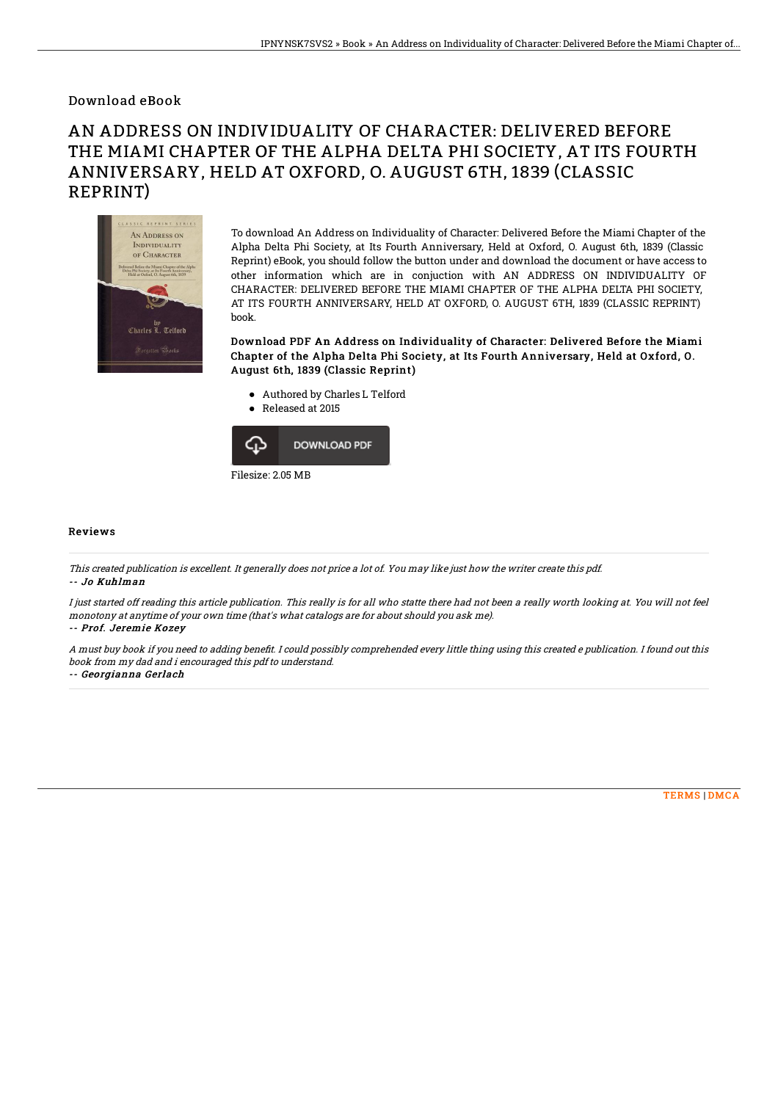## Download eBook

## AN ADDRESS ON INDIVIDUALITY OF CHARACTER: DELIVERED BEFORE THE MIAMI CHAPTER OF THE ALPHA DELTA PHI SOCIETY, AT ITS FOURTH ANNIVERSARY, HELD AT OXFORD, O. AUGUST 6TH, 1839 (CLASSIC REPRINT)



To download An Address on Individuality of Character: Delivered Before the Miami Chapter of the Alpha Delta Phi Society, at Its Fourth Anniversary, Held at Oxford, O. August 6th, 1839 (Classic Reprint) eBook, you should follow the button under and download the document or have access to other information which are in conjuction with AN ADDRESS ON INDIVIDUALITY OF CHARACTER: DELIVERED BEFORE THE MIAMI CHAPTER OF THE ALPHA DELTA PHI SOCIETY, AT ITS FOURTH ANNIVERSARY, HELD AT OXFORD, O. AUGUST 6TH, 1839 (CLASSIC REPRINT) book.

Download PDF An Address on Individuality of Character: Delivered Before the Miami Chapter of the Alpha Delta Phi Society, at Its Fourth Anniversary, Held at Oxford, O. August 6th, 1839 (Classic Reprint)

- Authored by Charles L Telford
- Released at 2015



## Reviews

This created publication is excellent. It generally does not price <sup>a</sup> lot of. You may like just how the writer create this pdf. -- Jo Kuhlman

I just started off reading this article publication. This really is for all who statte there had not been <sup>a</sup> really worth looking at. You will not feel monotony at anytime of your own time (that's what catalogs are for about should you ask me).

-- Prof. Jeremie Kozey

A must buy book if you need to adding benefit. I could possibly comprehended every little thing using this created e publication. I found out this book from my dad and i encouraged this pdf to understand.

-- Georgianna Gerlach